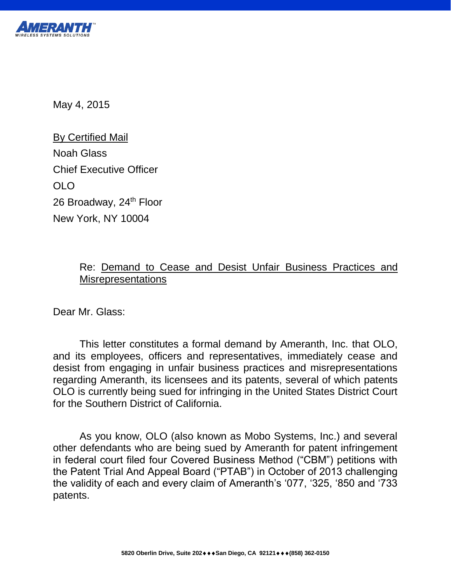

May 4, 2015

By Certified Mail Noah Glass Chief Executive Officer OLO 26 Broadway, 24<sup>th</sup> Floor New York, NY 10004

### Re: Demand to Cease and Desist Unfair Business Practices and **Misrepresentations**

Dear Mr. Glass:

This letter constitutes a formal demand by Ameranth, Inc. that OLO, and its employees, officers and representatives, immediately cease and desist from engaging in unfair business practices and misrepresentations regarding Ameranth, its licensees and its patents, several of which patents OLO is currently being sued for infringing in the United States District Court for the Southern District of California.

As you know, OLO (also known as Mobo Systems, Inc.) and several other defendants who are being sued by Ameranth for patent infringement in federal court filed four Covered Business Method ("CBM") petitions with the Patent Trial And Appeal Board ("PTAB") in October of 2013 challenging the validity of each and every claim of Ameranth's '077, '325, '850 and '733 patents.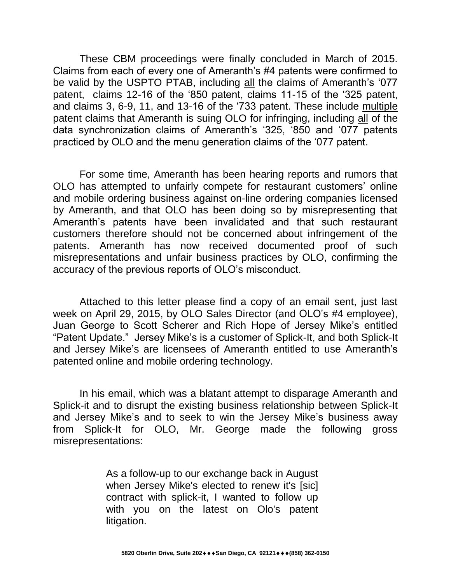These CBM proceedings were finally concluded in March of 2015. Claims from each of every one of Ameranth's #4 patents were confirmed to be valid by the USPTO PTAB, including all the claims of Ameranth's '077 patent, claims 12-16 of the '850 patent, claims 11-15 of the '325 patent, and claims 3, 6-9, 11, and 13-16 of the '733 patent. These include multiple patent claims that Ameranth is suing OLO for infringing, including all of the data synchronization claims of Ameranth's '325, '850 and '077 patents practiced by OLO and the menu generation claims of the '077 patent.

For some time, Ameranth has been hearing reports and rumors that OLO has attempted to unfairly compete for restaurant customers' online and mobile ordering business against on-line ordering companies licensed by Ameranth, and that OLO has been doing so by misrepresenting that Ameranth's patents have been invalidated and that such restaurant customers therefore should not be concerned about infringement of the patents. Ameranth has now received documented proof of such misrepresentations and unfair business practices by OLO, confirming the accuracy of the previous reports of OLO's misconduct.

Attached to this letter please find a copy of an email sent, just last week on April 29, 2015, by OLO Sales Director (and OLO's #4 employee), Juan George to Scott Scherer and Rich Hope of Jersey Mike's entitled "Patent Update." Jersey Mike's is a customer of Splick-It, and both Splick-It and Jersey Mike's are licensees of Ameranth entitled to use Ameranth's patented online and mobile ordering technology.

In his email, which was a blatant attempt to disparage Ameranth and Splick-it and to disrupt the existing business relationship between Splick-It and Jersey Mike's and to seek to win the Jersey Mike's business away from Splick-It for OLO, Mr. George made the following gross misrepresentations:

> As a follow-up to our exchange back in August when Jersey Mike's elected to renew it's [sic] contract with splick-it, I wanted to follow up with you on the latest on Olo's patent litigation.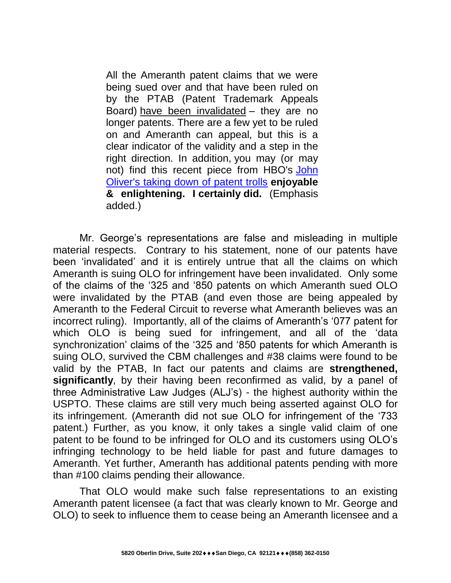All the Ameranth patent claims that we were being sued over and that have been ruled on by the PTAB (Patent Trademark Appeals Board) [have been invalidated](http://t.strk02.email/e1t/c/5/f18dQhb0S7lC8dDMPbW2n0x6l2B9nMJW7t5XX43LQ4p0W7gbCbv5v0zwxW1q0JJx56dT46f9jdHRM02?t=http%3A%2F%2Fwww.prnewswire.com%2Fnews-releases%2Fameranth-inc-completes-its-victory-over-defendants-attempts-to-invalidate-its-21st-century-data-synchronization-patents-in-the-uspto-300054909.html&si=4621933049020416&pi=9362f292-656d-4d51-dba1-de360a24c3e6) – they are no longer patents. There are a few yet to be ruled on and Ameranth can appeal, but this is a clear indicator of the validity and a step in the right direction. In addition, you may (or may not) find this recent piece from HBO's [John](http://t.strk02.email/e1t/c/5/f18dQhb0S7lC8dDMPbW2n0x6l2B9nMJW7t5XX43LQ4p0W7gbCbv5v0zwxW1q0JJx56dT46f9jdHRM02?t=http%3A%2F%2Ffortune.com%2F2015%2F04%2F20%2Fjohn-oliver-patent-trolls-hbo%2F&si=4621933049020416&pi=9362f292-656d-4d51-dba1-de360a24c3e6)  [Oliver's taking down of patent trolls](http://t.strk02.email/e1t/c/5/f18dQhb0S7lC8dDMPbW2n0x6l2B9nMJW7t5XX43LQ4p0W7gbCbv5v0zwxW1q0JJx56dT46f9jdHRM02?t=http%3A%2F%2Ffortune.com%2F2015%2F04%2F20%2Fjohn-oliver-patent-trolls-hbo%2F&si=4621933049020416&pi=9362f292-656d-4d51-dba1-de360a24c3e6) **enjoyable & enlightening. I certainly did.** (Emphasis added.)

Mr. George's representations are false and misleading in multiple material respects. Contrary to his statement, none of our patents have been 'invalidated' and it is entirely untrue that all the claims on which Ameranth is suing OLO for infringement have been invalidated. Only some of the claims of the '325 and '850 patents on which Ameranth sued OLO were invalidated by the PTAB (and even those are being appealed by Ameranth to the Federal Circuit to reverse what Ameranth believes was an incorrect ruling). Importantly, all of the claims of Ameranth's '077 patent for which OLO is being sued for infringement, and all of the 'data synchronization' claims of the '325 and '850 patents for which Ameranth is suing OLO, survived the CBM challenges and #38 claims were found to be valid by the PTAB, In fact our patents and claims are **strengthened, significantly**, by their having been reconfirmed as valid, by a panel of three Administrative Law Judges (ALJ's) - the highest authority within the USPTO. These claims are still very much being asserted against OLO for its infringement. (Ameranth did not sue OLO for infringement of the '733 patent.) Further, as you know, it only takes a single valid claim of one patent to be found to be infringed for OLO and its customers using OLO's infringing technology to be held liable for past and future damages to Ameranth. Yet further, Ameranth has additional patents pending with more than #100 claims pending their allowance.

That OLO would make such false representations to an existing Ameranth patent licensee (a fact that was clearly known to Mr. George and OLO) to seek to influence them to cease being an Ameranth licensee and a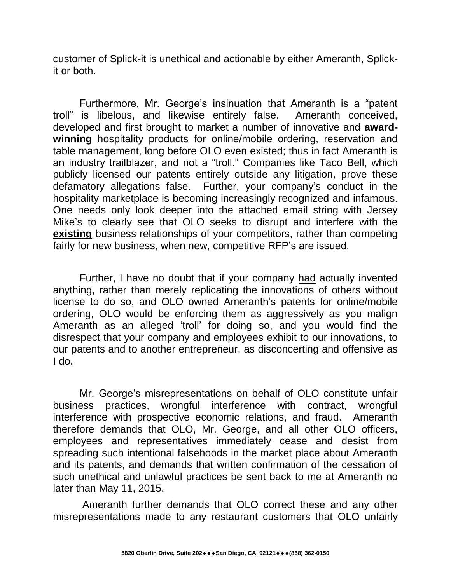customer of Splick-it is unethical and actionable by either Ameranth, Splickit or both.

Furthermore, Mr. George's insinuation that Ameranth is a "patent troll" is libelous, and likewise entirely false. Ameranth conceived, developed and first brought to market a number of innovative and **awardwinning** hospitality products for online/mobile ordering, reservation and table management, long before OLO even existed; thus in fact Ameranth is an industry trailblazer, and not a "troll." Companies like Taco Bell, which publicly licensed our patents entirely outside any litigation, prove these defamatory allegations false. Further, your company's conduct in the hospitality marketplace is becoming increasingly recognized and infamous. One needs only look deeper into the attached email string with Jersey Mike's to clearly see that OLO seeks to disrupt and interfere with the **existing** business relationships of your competitors, rather than competing fairly for new business, when new, competitive RFP's are issued.

Further, I have no doubt that if your company had actually invented anything, rather than merely replicating the innovations of others without license to do so, and OLO owned Ameranth's patents for online/mobile ordering, OLO would be enforcing them as aggressively as you malign Ameranth as an alleged 'troll' for doing so, and you would find the disrespect that your company and employees exhibit to our innovations, to our patents and to another entrepreneur, as disconcerting and offensive as I do.

Mr. George's misrepresentations on behalf of OLO constitute unfair business practices, wrongful interference with contract, wrongful interference with prospective economic relations, and fraud. Ameranth therefore demands that OLO, Mr. George, and all other OLO officers, employees and representatives immediately cease and desist from spreading such intentional falsehoods in the market place about Ameranth and its patents, and demands that written confirmation of the cessation of such unethical and unlawful practices be sent back to me at Ameranth no later than May 11, 2015.

Ameranth further demands that OLO correct these and any other misrepresentations made to any restaurant customers that OLO unfairly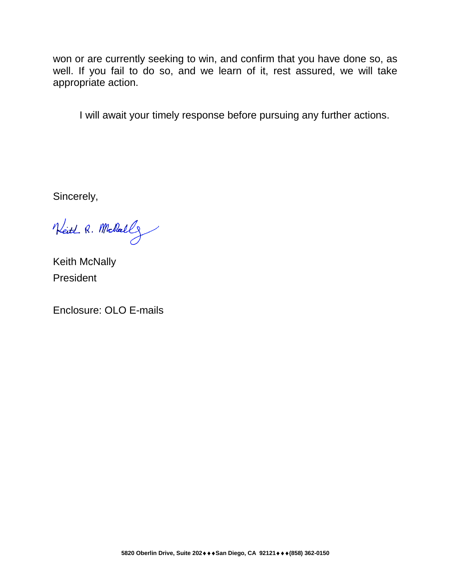won or are currently seeking to win, and confirm that you have done so, as well. If you fail to do so, and we learn of it, rest assured, we will take appropriate action.

I will await your timely response before pursuing any further actions.

Sincerely,

Neith R. Mollall

Keith McNally President

Enclosure: OLO E-mails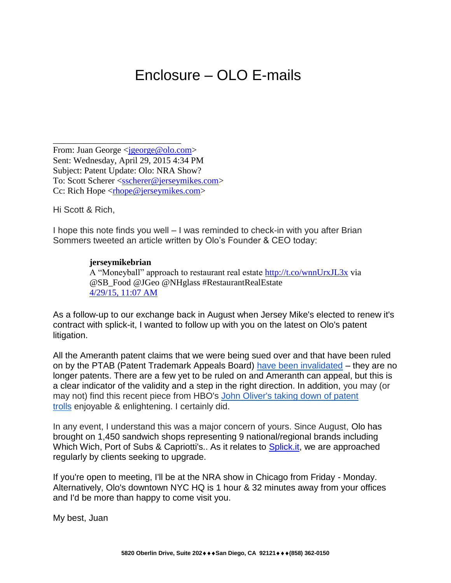# Enclosure – OLO E-mails

From: Juan George <<u>jgeorge@olo.com</u>> Sent: Wednesday, April 29, 2015 4:34 PM Subject: Patent Update: Olo: NRA Show? To: Scott Scherer [<sscherer@jerseymikes.com>](https://mail.ameranth.com/OWA/redir.aspx?C=f96d792590504231831d6a003ebe9890&URL=mailto%3asscherer%40jerseymikes.com) Cc: Rich Hope  $\langle$  chope @ jerseymikes.com>

\_\_\_\_\_\_\_\_\_\_\_\_\_\_\_\_\_\_\_\_\_\_\_\_\_\_\_\_\_

Hi Scott & Rich,

I hope this note finds you well – I was reminded to check-in with you after Brian Sommers tweeted an article written by Olo's Founder & CEO today:

#### **jerseymikebrian**

A "Moneyball" approach to restaurant real estate [http://t.co/wnnUrxJL3x](https://mail.ameranth.com/OWA/redir.aspx?C=f96d792590504231831d6a003ebe9890&URL=http%3a%2f%2ft.co%2fwnnUrxJL3x) via @SB\_Food @JGeo @NHglass #RestaurantRealEstate [4/29/15, 11:07 AM](https://mail.ameranth.com/OWA/redir.aspx?C=f96d792590504231831d6a003ebe9890&URL=http%3a%2f%2ft.strk02.email%2fe1t%2fc%2f5%2ff18dQhb0S7lC8dDMPbW2n0x6l2B9nMJW7t5XX43LQ4p0W7gbCbv5v0zwxW1q0JJx56dT46f9jdHRM02%3ft%3dhttps%253A%252F%252Ftwitter.com%252Fjerseymikebrian%252Fstatus%252F593431362939523073%26si%3d4621933049020416%26pi%3d9362f292-656d-4d51-dba1-de360a24c3e6)

As a follow-up to our exchange back in August when Jersey Mike's elected to renew it's contract with splick-it, I wanted to follow up with you on the latest on Olo's patent litigation.

All the Ameranth patent claims that we were being sued over and that have been ruled on by the PTAB (Patent Trademark Appeals Board) [have been invalidated](https://mail.ameranth.com/OWA/redir.aspx?C=f96d792590504231831d6a003ebe9890&URL=http%3a%2f%2ft.strk02.email%2fe1t%2fc%2f5%2ff18dQhb0S7lC8dDMPbW2n0x6l2B9nMJW7t5XX43LQ4p0W7gbCbv5v0zwxW1q0JJx56dT46f9jdHRM02%3ft%3dhttp%253A%252F%252Fwww.prnewswire.com%252Fnews-releases%252Fameranth-inc-completes-its-victory-over-defendants-attempts-to-invalidate-its-21st-century-data-synchronization-patents-in-the-uspto-300054909.html%26si%3d4621933049020416%26pi%3d9362f292-656d-4d51-dba1-de360a24c3e6) – they are no longer patents. There are a few yet to be ruled on and Ameranth can appeal, but this is a clear indicator of the validity and a step in the right direction. In addition, you may (or may not) find this recent piece from HBO's [John Oliver's taking down of patent](https://mail.ameranth.com/OWA/redir.aspx?C=f96d792590504231831d6a003ebe9890&URL=http%3a%2f%2ft.strk02.email%2fe1t%2fc%2f5%2ff18dQhb0S7lC8dDMPbW2n0x6l2B9nMJW7t5XX43LQ4p0W7gbCbv5v0zwxW1q0JJx56dT46f9jdHRM02%3ft%3dhttp%253A%252F%252Ffortune.com%252F2015%252F04%252F20%252Fjohn-oliver-patent-trolls-hbo%252F%26si%3d4621933049020416%26pi%3d9362f292-656d-4d51-dba1-de360a24c3e6)  [trolls](https://mail.ameranth.com/OWA/redir.aspx?C=f96d792590504231831d6a003ebe9890&URL=http%3a%2f%2ft.strk02.email%2fe1t%2fc%2f5%2ff18dQhb0S7lC8dDMPbW2n0x6l2B9nMJW7t5XX43LQ4p0W7gbCbv5v0zwxW1q0JJx56dT46f9jdHRM02%3ft%3dhttp%253A%252F%252Ffortune.com%252F2015%252F04%252F20%252Fjohn-oliver-patent-trolls-hbo%252F%26si%3d4621933049020416%26pi%3d9362f292-656d-4d51-dba1-de360a24c3e6) enjoyable & enlightening. I certainly did.

In any event, I understand this was a major concern of yours. Since August, Olo has brought on 1,450 sandwich shops representing 9 national/regional brands including Which Wich, Port of Subs & Capriotti's.. As it relates to [Splick.it,](https://mail.ameranth.com/OWA/redir.aspx?C=f96d792590504231831d6a003ebe9890&URL=http%3a%2f%2fSplick.it) we are approached regularly by clients seeking to upgrade.

If you're open to meeting, I'll be at the NRA show in Chicago from Friday - Monday. Alternatively, Olo's downtown NYC HQ is 1 hour & 32 minutes away from your offices and I'd be more than happy to come visit you.

My best, Juan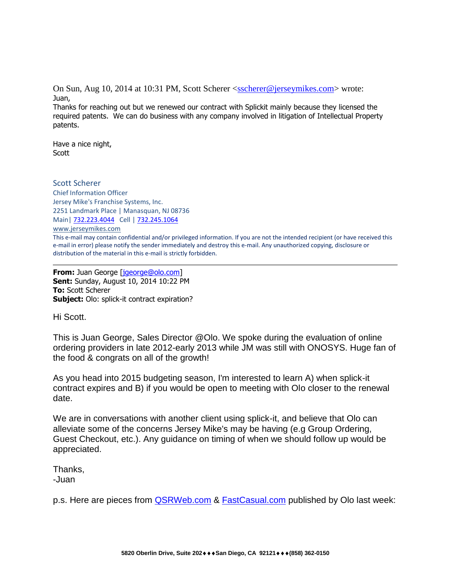On Sun, Aug 10, 2014 at 10:31 PM, Scott Scherer [<sscherer@jerseymikes.com>](https://mail.ameranth.com/OWA/redir.aspx?C=f96d792590504231831d6a003ebe9890&URL=mailto%3asscherer%40jerseymikes.com) wrote: Juan,

Thanks for reaching out but we renewed our contract with Splickit mainly because they licensed the required patents. We can do business with any company involved in litigation of Intellectual Property patents.

Have a nice night, Scott

#### Scott Scherer

Chief Information Officer Jersey Mike's Franchise Systems, Inc. 2251 Landmark Place | Manasquan, NJ 08736 Main| [732.223.4044](tel:732.223.4044) Cell | [732.245.1064](tel:732.245.1064)

[www.jerseymikes.com](https://mail.ameranth.com/OWA/redir.aspx?C=f96d792590504231831d6a003ebe9890&URL=http%3a%2f%2fwww.jerseymikes.com%2f)

This e-mail may contain confidential and/or privileged information. If you are not the intended recipient (or have received this e-mail in error) please notify the sender immediately and destroy this e-mail. Any unauthorized copying, disclosure or distribution of the material in this e-mail is strictly forbidden.

**From:** Juan George [\[jgeorge@olo.com\]](https://mail.ameranth.com/OWA/redir.aspx?C=f96d792590504231831d6a003ebe9890&URL=mailto%3ajgeorge%40olo.com) **Sent:** Sunday, August 10, 2014 10:22 PM **To:** Scott Scherer **Subject:** Olo: splick-it contract expiration?

Hi Scott.

This is Juan George, Sales Director @Olo. We spoke during the evaluation of online ordering providers in late 2012-early 2013 while JM was still with ONOSYS. Huge fan of the food & congrats on all of the growth!

As you head into 2015 budgeting season, I'm interested to learn A) when splick-it contract expires and B) if you would be open to meeting with Olo closer to the renewal date.

We are in conversations with another client using splick-it, and believe that Olo can alleviate some of the concerns Jersey Mike's may be having (e.g Group Ordering, Guest Checkout, etc.). Any guidance on timing of when we should follow up would be appreciated.

Thanks, -Juan

p.s. Here are pieces from **QSRWeb.com & [FastCasual.com](https://mail.ameranth.com/OWA/redir.aspx?C=f96d792590504231831d6a003ebe9890&URL=http%3a%2f%2fFastCasual.com)** published by Olo last week: